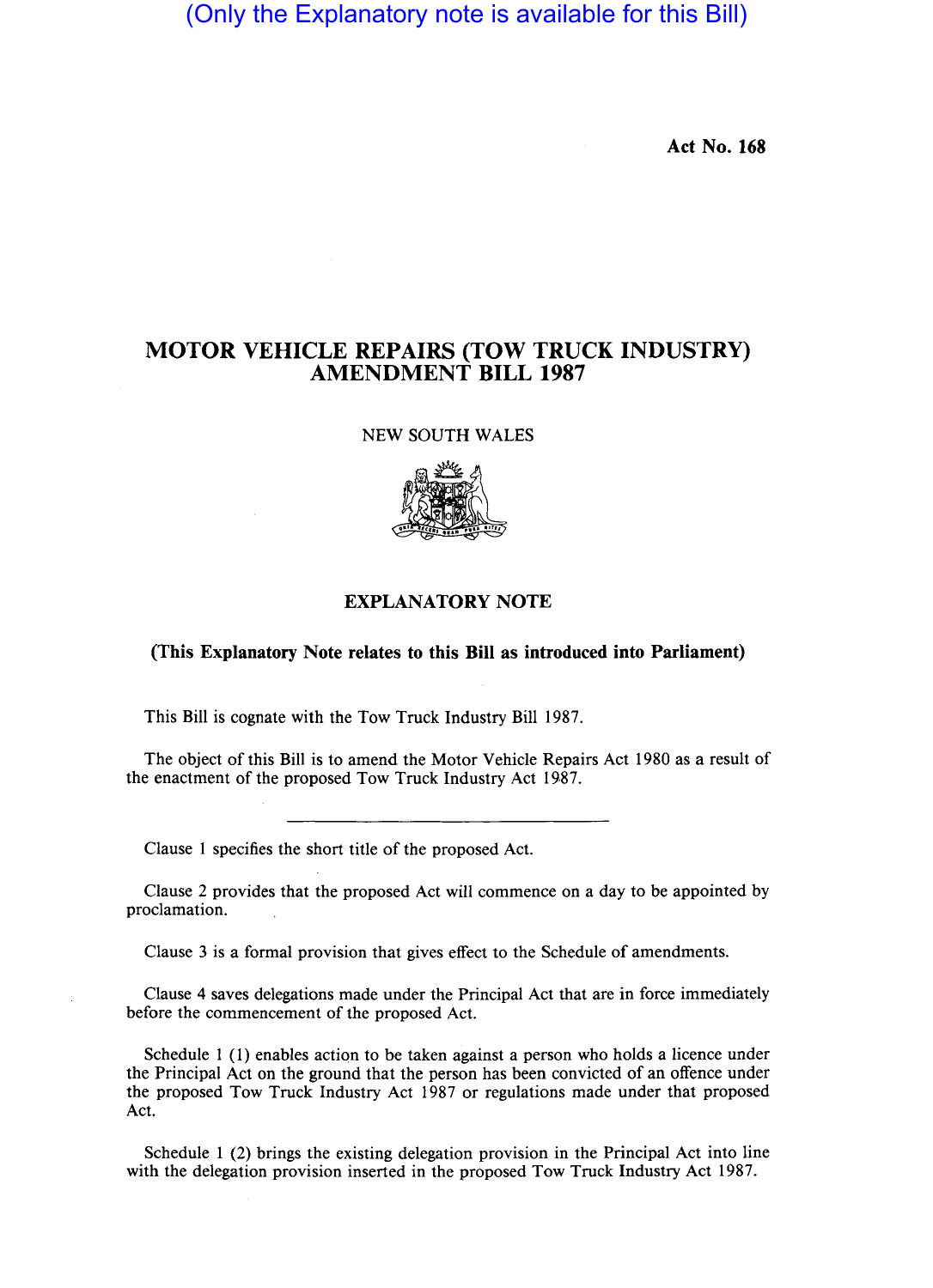## (Only the Explanatory note is available for this Bill)

**Act No. 168** 

### **MOTOR VEHICLE REPAIRS (TOW TRUCK INDUSTRY) AMENDMENT BILL 1987**

NEW SOUTH WALES



#### **EXPLANATORY NOTE**

#### **(This Explanatory Note relates to this Bill as introduced into Parliament)**

This **Bill** is cognate with the Tow Truck Industry **Bill** 1987.

The object of this **Bill** is to amend the Motor Vehicle Repairs Act 1980 as a result of the enactment of the proposed Tow Truck Industry Act 1987.

Clause 1 specifies the short title of the proposed Act.

Clause 2 provides that the proposed Act will commence on a day to be appointed by proclamation.

Clause 3 is a formal provision that gives effect to the Schedule of amendments.

Clause 4 saves delegations made under the Principal Act that are in force immediately before the commencement of the proposed Act.

Schedule  $1$  (1) enables action to be taken against a person who holds a licence under the Principal Act on the ground that the person has been convicted of an offence under the proposed Tow Truck Industry Act 1987 or regulations made under that proposed Act.

Schedule 1 (2) brings the existing delegation provision in the Principal Act into line with the delegation provision inserted in the proposed Tow Truck Industry Act 1987.